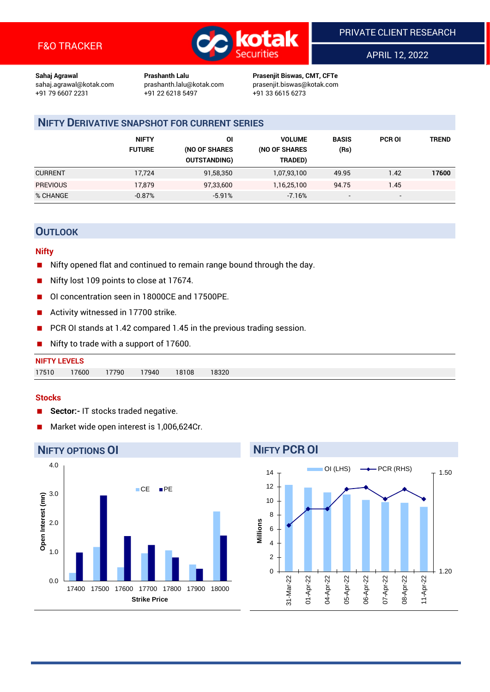

APRIL 12, 2022

1.20

06-Apr-22

07-Apr-22

08-Apr-22

11-Apr-22

1.50

**Sahaj Agrawal Prashanth Lalu Prasenjit Biswas, CMT, CFTe** +91 22 6218 5497 +91 33 6615 6273

sahaj.agrawal@kotak.com [prashanth.lalu@kotak.com](mailto:prashanth.lalu@kotak.com) prasenjit.biswas@kotak.com

## **NIFTY DERIVATIVE SNAPSHOT FOR CURRENT SERIES**

|                 | <b>NIFTY</b><br><b>FUTURE</b> | ΟI<br>(NO OF SHARES<br><b>OUTSTANDING)</b> | <b>VOLUME</b><br>(NO OF SHARES<br>TRADED) | <b>BASIS</b><br>(Rs)     | <b>PCR OI</b> | TREND |
|-----------------|-------------------------------|--------------------------------------------|-------------------------------------------|--------------------------|---------------|-------|
| <b>CURRENT</b>  | 17.724                        | 91,58,350                                  | 1,07,93,100                               | 49.95                    | 1.42          | 17600 |
| <b>PREVIOUS</b> | 17,879                        | 97,33,600                                  | 1,16,25,100                               | 94.75                    | 1.45          |       |
| % CHANGE        | $-0.87%$                      | $-5.91%$                                   | $-7.16%$                                  | $\overline{\phantom{a}}$ | -             |       |

## **OUTLOOK**

#### **Nifty**

- Nifty opened flat and continued to remain range bound through the day.
- Nifty lost 109 points to close at 17674.
- OI concentration seen in 18000CE and 17500PE.
- Activity witnessed in 17700 strike.
- PCR OI stands at 1.42 compared 1.45 in the previous trading session.
- Nifty to trade with a support of 17600.

| <b>NIFTY LEVELS</b> |       |       |       |       |       |  |  |  |
|---------------------|-------|-------|-------|-------|-------|--|--|--|
| 17510               | 17600 | 17790 | 17940 | 18108 | 18320 |  |  |  |

#### **Stocks**

- **Sector:-** IT stocks traded negative.
- Market wide open interest is 1,006,624Cr.

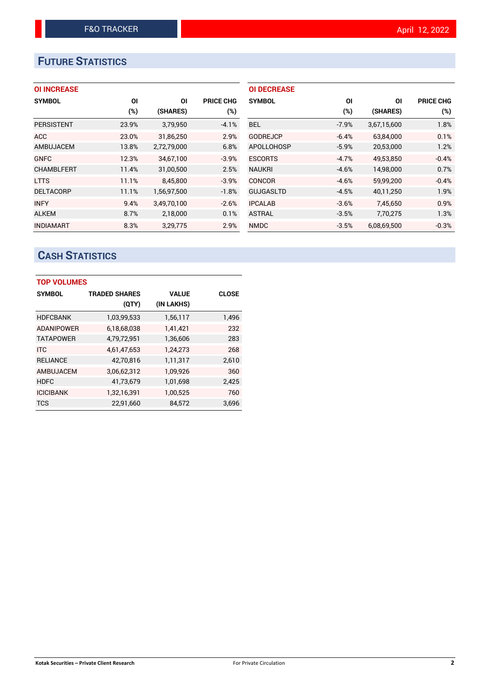# **FUTURE STATISTICS**

#### **OI INCREASE**

| <b>SYMBOL</b>     | ΟI    | ΟI          | <b>PRICE CHG</b> |
|-------------------|-------|-------------|------------------|
|                   | (%)   | (SHARES)    | (%)              |
| <b>PERSISTENT</b> | 23.9% | 3,79,950    | $-4.1%$          |
| <b>ACC</b>        | 23.0% | 31,86,250   | 2.9%             |
| AMBUJACEM         | 13.8% | 2,72,79,000 | 6.8%             |
| <b>GNFC</b>       | 12.3% | 34.67.100   | $-3.9%$          |
| <b>CHAMBLFERT</b> | 11.4% | 31,00,500   | 2.5%             |
| <b>LTTS</b>       | 11.1% | 8,45,800    | $-3.9%$          |
| <b>DELTACORP</b>  | 11.1% | 1,56,97,500 | $-1.8%$          |
| <b>INFY</b>       | 9.4%  | 3,49,70,100 | $-2.6%$          |
| <b>ALKEM</b>      | 8.7%  | 2,18,000    | 0.1%             |
| <b>INDIAMART</b>  | 8.3%  | 3,29,775    | 2.9%             |

| <b>OI DECREASE</b> |         |             |                  |
|--------------------|---------|-------------|------------------|
| <b>SYMBOL</b>      | ΟI      | ΟI          | <b>PRICE CHG</b> |
|                    | (%)     | (SHARES)    | $(\%)$           |
| BEL.               | $-7.9%$ | 3,67,15,600 | 1.8%             |
| <b>GODREJCP</b>    | $-6.4%$ | 63,84,000   | 0.1%             |
| APOLLOHOSP         | $-5.9%$ | 20,53,000   | 1.2%             |
| <b>ESCORTS</b>     | $-4.7%$ | 49.53.850   | $-0.4%$          |
| <b>NAUKRI</b>      | $-4.6%$ | 14,98,000   | 0.7%             |
| CONCOR             | $-4.6%$ | 59,99,200   | $-0.4%$          |
| <b>GUJGASLTD</b>   | $-4.5%$ | 40,11,250   | 1.9%             |
| <b>IPCALAB</b>     | $-3.6%$ | 7,45,650    | 0.9%             |
| <b>ASTRAL</b>      | $-3.5%$ | 7,70,275    | 1.3%             |
| <b>NMDC</b>        | $-3.5%$ | 6.08.69.500 | $-0.3%$          |

# **CASH STATISTICS**

| <b>TOP VOLUMES</b> |                      |              |              |  |  |  |  |  |
|--------------------|----------------------|--------------|--------------|--|--|--|--|--|
| <b>SYMBOL</b>      | <b>TRADED SHARES</b> | <b>VALUE</b> | <b>CLOSE</b> |  |  |  |  |  |
|                    | (QTY)                | (IN LAKHS)   |              |  |  |  |  |  |
| <b>HDFCBANK</b>    | 1,03,99,533          | 1,56,117     | 1,496        |  |  |  |  |  |
| <b>ADANIPOWER</b>  | 6,18,68,038          | 1,41,421     | 232          |  |  |  |  |  |
| <b>TATAPOWER</b>   | 4,79,72,951          | 1,36,606     | 283          |  |  |  |  |  |
| <b>ITC</b>         | 4,61,47,653          | 1,24,273     | 268          |  |  |  |  |  |
| <b>RELIANCE</b>    | 42,70,816            | 1,11,317     | 2,610        |  |  |  |  |  |
| AMBUJACEM          | 3,06,62,312          | 1,09,926     | 360          |  |  |  |  |  |
| <b>HDFC</b>        | 41,73,679            | 1,01,698     | 2,425        |  |  |  |  |  |
| <b>ICICIBANK</b>   | 1,32,16,391          | 1,00,525     | 760          |  |  |  |  |  |
| <b>TCS</b>         | 22,91,660            | 84,572       | 3,696        |  |  |  |  |  |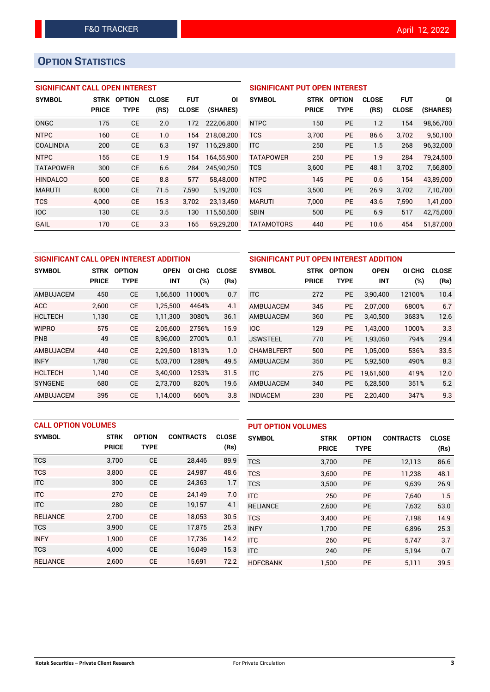## **OPTION STATISTICS**

#### **SIGNIFICANT CALL OPEN INTEREST**

| <b>SYMBOL</b>    | STRK         | <b>OPTION</b> | <b>CLOSE</b> | <b>FUT</b>   | ΟI         |
|------------------|--------------|---------------|--------------|--------------|------------|
|                  | <b>PRICE</b> | TYPE          | (RS)         | <b>CLOSE</b> | (SHARES)   |
| ONGC             | 175          | СE            | 2.0          | 172          | 222.06.800 |
| <b>NTPC</b>      | 160          | CE            | 1.0          | 154          | 218,08,200 |
| <b>COALINDIA</b> | 200          | CE            | 6.3          | 197          | 116,29,800 |
| <b>NTPC</b>      | 155          | CE            | 1.9          | 154          | 164,55,900 |
| <b>TATAPOWER</b> | 300          | CE            | 6.6          | 284          | 245,90,250 |
| <b>HINDALCO</b>  | 600          | CF            | 8.8          | 577          | 58,48,000  |
| <b>MARUTI</b>    | 8.000        | СE            | 71.5         | 7,590        | 5,19,200   |
| <b>TCS</b>       | 4.000        | CE            | 15.3         | 3,702        | 23,13,450  |
| <b>IOC</b>       | 130          | CE            | 3.5          | 130          | 115,50,500 |
| GAIL             | 170          | СE            | 3.3          | 165          | 59,29,200  |

#### **SIGNIFICANT PUT OPEN INTEREST**

| <b>SYMBOL</b>     | <b>STRK</b><br><b>PRICE</b> | <b>OPTION</b><br>TYPE | <b>CLOSE</b><br>(RS) | <b>FUT</b><br><b>CLOSE</b> | ΟI<br>(SHARES) |
|-------------------|-----------------------------|-----------------------|----------------------|----------------------------|----------------|
| <b>NTPC</b>       | 150                         | PF                    | 1.2                  | 154                        | 98,66,700      |
| <b>TCS</b>        | 3,700                       | <b>PE</b>             | 86.6                 | 3,702                      | 9,50,100       |
| <b>ITC</b>        | 250                         | <b>PE</b>             | 1.5                  | 268                        | 96,32,000      |
| <b>TATAPOWER</b>  | 250                         | PF                    | 1.9                  | 284                        | 79.24.500      |
| <b>TCS</b>        | 3,600                       | <b>PE</b>             | 48.1                 | 3,702                      | 7,66,800       |
| <b>NTPC</b>       | 145                         | <b>PE</b>             | 0.6                  | 154                        | 43.89.000      |
| <b>TCS</b>        | 3.500                       | <b>PE</b>             | 26.9                 | 3.702                      | 7,10,700       |
| <b>MARUTI</b>     | 7,000                       | <b>PE</b>             | 43.6                 | 7,590                      | 1,41,000       |
| <b>SBIN</b>       | 500                         | <b>PE</b>             | 6.9                  | 517                        | 42,75,000      |
| <b>TATAMOTORS</b> | 440                         | <b>PE</b>             | 10.6                 | 454                        | 51,87,000      |

| SIGNIFICANT CALL OPEN INTEREST ADDITION |              |               |             |        |              |  |  |  |
|-----------------------------------------|--------------|---------------|-------------|--------|--------------|--|--|--|
| <b>SYMBOL</b>                           | <b>STRK</b>  | <b>OPTION</b> | <b>OPEN</b> |        | <b>CLOSE</b> |  |  |  |
|                                         | <b>PRICE</b> | <b>TYPE</b>   | <b>INT</b>  | (%)    | (Rs)         |  |  |  |
| AMBUJACEM                               | 450          | СE            | 1,66,500    | 11000% | 0.7          |  |  |  |
| ACC                                     | 2,600        | <b>CE</b>     | 1,25,500    | 4464%  | 4.1          |  |  |  |
| <b>HCLTECH</b>                          | 1,130        | СE            | 1,11,300    | 3080%  | 36.1         |  |  |  |
| <b>WIPRO</b>                            | 575          | <b>CE</b>     | 2,05,600    | 2756%  | 15.9         |  |  |  |
| <b>PNB</b>                              | 49           | <b>CE</b>     | 8,96,000    | 2700%  | 0.1          |  |  |  |
| AMBUJACEM                               | 440          | CF.           | 2.29.500    | 1813%  | 1.0          |  |  |  |
| <b>INFY</b>                             | 1,780        | <b>CE</b>     | 5,03,700    | 1288%  | 49.5         |  |  |  |
| <b>HCLTECH</b>                          | 1.140        | <b>CE</b>     | 3.40.900    | 1253%  | 31.5         |  |  |  |
| <b>SYNGENE</b>                          | 680          | <b>CE</b>     | 2,73,700    | 820%   | 19.6         |  |  |  |
| AMBUJACEM                               | 395          | <b>CE</b>     | 1.14.000    | 660%   | 3.8          |  |  |  |

| SIGNIFICANT PUT OPEN INTEREST ADDITION |              |               |             |        |              |  |  |  |
|----------------------------------------|--------------|---------------|-------------|--------|--------------|--|--|--|
| <b>SYMBOL</b>                          | <b>STRK</b>  | <b>OPTION</b> | <b>OPEN</b> | OI CHG | <b>CLOSE</b> |  |  |  |
|                                        | <b>PRICE</b> | TYPE          | INT         | (%)    | (Rs)         |  |  |  |
| <b>ITC</b>                             | 272          | <b>PE</b>     | 3,90,400    | 12100% | 10.4         |  |  |  |
| AMBUJACEM                              | 345          | <b>PE</b>     | 2,07,000    | 6800%  | 6.7          |  |  |  |
| AMBUJACEM                              | 360          | PE            | 3,40,500    | 3683%  | 12.6         |  |  |  |
| <b>IOC</b>                             | 129          | <b>PE</b>     | 1,43,000    | 1000%  | 3.3          |  |  |  |
| <b>JSWSTEEL</b>                        | 770          | <b>PE</b>     | 1,93,050    | 794%   | 29.4         |  |  |  |
| <b>CHAMBLFERT</b>                      | 500          | PE            | 1,05,000    | 536%   | 33.5         |  |  |  |
| AMBUJACEM                              | 350          | <b>PE</b>     | 5,92,500    | 490%   | 8.3          |  |  |  |
| <b>ITC</b>                             | 275          | <b>PE</b>     | 19,61,600   | 419%   | 12.0         |  |  |  |
| AMBUJACEM                              | 340          | <b>PE</b>     | 6,28,500    | 351%   | 5.2          |  |  |  |
| <b>INDIACEM</b>                        | 230          | PE            | 2,20,400    | 347%   | 9.3          |  |  |  |

| <b>CALL OPTION VOLUMES</b> |              |               |                  | <b>PUT OPTION VOLUMES</b> |                 |              |               |                  |              |
|----------------------------|--------------|---------------|------------------|---------------------------|-----------------|--------------|---------------|------------------|--------------|
| <b>SYMBOL</b>              | <b>STRK</b>  | <b>OPTION</b> | <b>CONTRACTS</b> | <b>CLOSE</b>              | <b>SYMBOL</b>   | <b>STRK</b>  | <b>OPTION</b> | <b>CONTRACTS</b> | <b>CLOSE</b> |
|                            | <b>PRICE</b> | <b>TYPE</b>   |                  | (Rs)                      |                 | <b>PRICE</b> | <b>TYPE</b>   |                  | (Rs)         |
| <b>TCS</b>                 | 3,700        | <b>CE</b>     | 28,446           | 89.9                      | <b>TCS</b>      | 3,700        | <b>PE</b>     | 12,113           | 86.6         |
| <b>TCS</b>                 | 3.800        | <b>CE</b>     | 24.987           | 48.6                      | <b>TCS</b>      | 3.600        | <b>PE</b>     | 11.238           | 48.1         |
| <b>ITC</b>                 | 300          | <b>CE</b>     | 24,363           | 1.7                       | <b>TCS</b>      | 3,500        | <b>PE</b>     | 9,639            | 26.9         |
| <b>ITC</b>                 | 270          | <b>CE</b>     | 24.149           | 7.0                       | <b>ITC</b>      | 250          | <b>PE</b>     | 7.640            | 1.5          |
| <b>ITC</b>                 | 280          | <b>CE</b>     | 19,157           | 4.1                       | <b>RELIANCE</b> | 2,600        | <b>PE</b>     | 7,632            | 53.0         |
| <b>RELIANCE</b>            | 2,700        | <b>CE</b>     | 18,053           | 30.5                      | <b>TCS</b>      | 3.400        | <b>PE</b>     | 7.198            | 14.9         |
| <b>TCS</b>                 | 3,900        | <b>CE</b>     | 17,875           | 25.3                      | <b>INFY</b>     | 1,700        | <b>PE</b>     | 6,896            | 25.3         |
| <b>INFY</b>                | 1.900        | <b>CE</b>     | 17.736           | 14.2                      | <b>ITC</b>      | 260          | <b>PE</b>     | 5.747            | 3.7          |
| <b>TCS</b>                 | 4.000        | <b>CE</b>     | 16,049           | 15.3                      | <b>ITC</b>      | 240          | <b>PE</b>     | 5,194            | 0.7          |
| <b>RELIANCE</b>            | 2,600        | <b>CE</b>     | 15,691           | 72.2                      | <b>HDFCBANK</b> | 1.500        | <b>PE</b>     | 5.111            | 39.5         |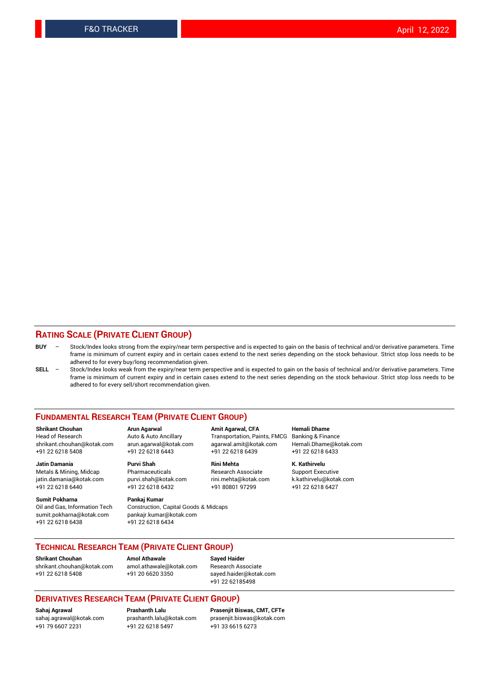#### **RATING SCALE (PRIVATE CLIENT GROUP)**

- **BUY**  Stock/Index looks strong from the expiry/near term perspective and is expected to gain on the basis of technical and/or derivative parameters. Time frame is minimum of current expiry and in certain cases extend to the next series depending on the stock behaviour. Strict stop loss needs to be adhered to for every buy/long recommendation given.
- **SELL** Stock/Index looks weak from the expiry/near term perspective and is expected to gain on the basis of technical and/or derivative parameters. Time frame is minimum of current expiry and in certain cases extend to the next series depending on the stock behaviour. Strict stop loss needs to be adhered to for every sell/short recommendation given.

#### **FUNDAMENTAL RESEARCH TEAM (PRIVATE CLIENT GROUP)**

**Shrikant Chouhan Arun Agarwal Amit Agarwal, CFA Hemali Dhame** shrikant.chouhan@kotak.com arun.agarwal@kotak.com agarwal.amit@kotak.com Hemali.Dhame@kotak.com +91 22 6218 5408 +91 22 6218 6443 +91 22 6218 6439 +91 22 6218 6433

Metals & Mining, Midcap Pharmaceuticals Pharmaceuticals Research Associate Support Executive<br>
iatin.damania@kotak.com purvi.shah@kotak.com rini.mehta@kotak.com k.kathirvelu@kotak.com jatin.damania@kotak.com

**Sumit Pokharna** Pankaj Kumar<br>Oil and Gas, Information Tech Construction, sumit.pokharna@kotak.com pankajr.kumar@kotak.com +91 22 6218 6438 +91 22 6218 6434

# **Jatin Damania Purvi Shah Rini Mehta K. Kathirvelu**

Construction, Capital Goods & Midcaps

Transportation, Paints, FMCG

+91 22 6218 6440 +91 22 6218 6432 +91 80801 97299 +91 22 6218 6427

#### **TECHNICAL RESEARCH TEAM (PRIVATE CLIENT GROUP)**

**Shrikant Chouhan Amol Athawale Sayed Haider** [shrikant.chouhan@kotak.com](mailto:shrikant.chouhan@kotak.com) [amol.athawale@kotak.com](mailto:amol.athawale@kotak.com) Research Associate +91 22 6218 5408 +91 20 6620 3350 [sayed.haider@kotak.com](mailto:sayed.haider@kotak.com)

+91 22 62185498

#### **DERIVATIVES RESEARCH TEAM (PRIVATE CLIENT GROUP)**

+91 79 6607 2231 +91 22 6218 5497 +91 33 6615 6273

**Sahaj Agrawal Prashanth Lalu Prasenjit Biswas, CMT, CFTe** [prasenjit.biswas@kotak.com](mailto:prasenjit.biswas@kotak.com)